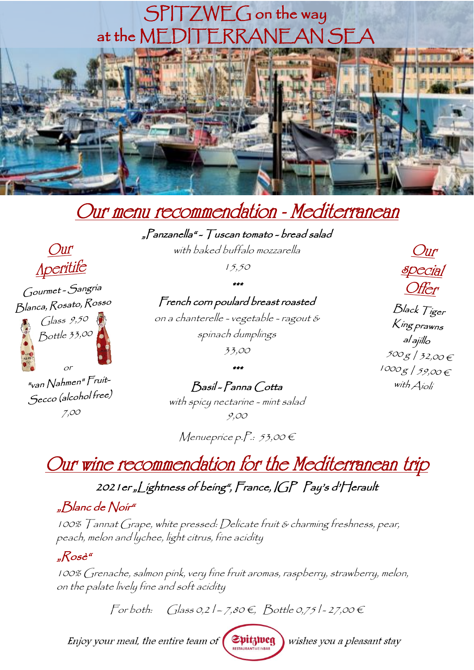# at the MEDITERRANEAN SEA SPITZWEG on the way



"Panzanella" - Tuscan tomato - bread salad

with baked buffalo mozzarella

15,50

\*\*\* French corn poulard breast roasted

on a chanterelle - vegetable - ragout &

spinach dumplings

33,00

Aperitife Gourmet - Sangría Blanca, Rosato, Rosso  $G$ lass  $9,50$ Bottle 33,00

Our

"van Nahmen" Fruit-Secco (alcohol free)  $7,00$ 

\*\*\* Basil - Panna Cotta

with spicy nectarine - mint salad 9,00

Menueprice p. $P: 53,00 \in$ 

Our wine recommendation for the Mediterranean trip

2021er "Lightness of being", France, IGP Pay's d'Herault

#### "Blanc de Noir"

100% Tannat Grape, white pressed: Delicate fruit & charming freshness, pear, peach, melon and lychee, light citrus, fine acidity

#### "Rosè"

100% Grenache, salmon pink, very fine fruit aromas, raspberry, strawberry, melon, on the palate lively fine and soft acidity

 $\text{For both:} \quad \text{Glass 0,21--7,80E, Bottle 0,751--27,00E}$ 

Spitzweg Enjoy your meal, the entire team of

wishes you a pleasant stay

Offer Black Tiger King prawns al ajíllo  $500g/32,00f$  $1000g/59,00 \in$ with Aioli

 $Our$ 

**special**